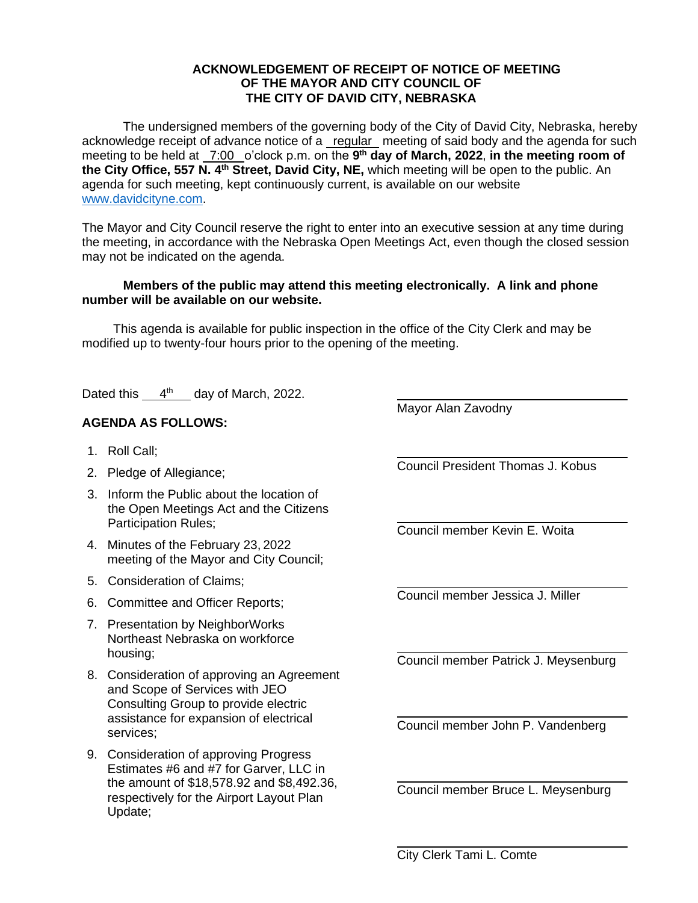## **ACKNOWLEDGEMENT OF RECEIPT OF NOTICE OF MEETING OF THE MAYOR AND CITY COUNCIL OF THE CITY OF DAVID CITY, NEBRASKA**

The undersigned members of the governing body of the City of David City, Nebraska, hereby acknowledge receipt of advance notice of a regular meeting of said body and the agenda for such meeting to be held at  $\frac{7:00}{ }$  o'clock p.m. on the 9<sup>th</sup> day of March, 2022, in the meeting room of **the City Office, 557 N. 4th Street, David City, NE,** which meeting will be open to the public. An agenda for such meeting, kept continuously current, is available on our website [www.davidcityne.com.](https://urldefense.proofpoint.com/v2/url?u=http-3A__www.davidcityne.com&d=DwMFAg&c=UCja3IwhyjPGYeHcG7oIbg&r=sTF4AptKcZUvAdPZH__AgXD7wYT5PTsm1dL8p3vwYO4&m=H_1JksRqSJf69XA0HV8uDjtaNsM1PhWMo-DkTNHrSaE&s=wLyFni_YrhiWLHduEQzSflZL77e5AtnnCpVJ-weajcE&e=)

The Mayor and City Council reserve the right to enter into an executive session at any time during the meeting, in accordance with the Nebraska Open Meetings Act, even though the closed session may not be indicated on the agenda.

## **Members of the public may attend this meeting electronically. A link and phone number will be available on our website.**

This agenda is available for public inspection in the office of the City Clerk and may be modified up to twenty-four hours prior to the opening of the meeting.

Dated this  $4<sup>th</sup>$  day of March, 2022.

## **AGENDA AS FOLLOWS:**

- 1. Roll Call;
- 2. Pledge of Allegiance;
- 3. Inform the Public about the location of the Open Meetings Act and the Citizens Participation Rules;
- 4. Minutes of the February 23, 2022 meeting of the Mayor and City Council;
- 5. Consideration of Claims;
- 6. Committee and Officer Reports;
- 7. Presentation by NeighborWorks Northeast Nebraska on workforce housing;
- 8. Consideration of approving an Agreement and Scope of Services with JEO Consulting Group to provide electric assistance for expansion of electrical services;
- 9. Consideration of approving Progress Estimates #6 and #7 for Garver, LLC in the amount of \$18,578.92 and \$8,492.36, respectively for the Airport Layout Plan Update;

Council President Thomas J. Kobus

Mayor Alan Zavodny

 $\overline{a}$ 

Council member Kevin E. Woita

Council member Jessica J. Miller

Council member Patrick J. Meysenburg

Council member John P. Vandenberg

Council member Bruce L. Meysenburg

City Clerk Tami L. Comte